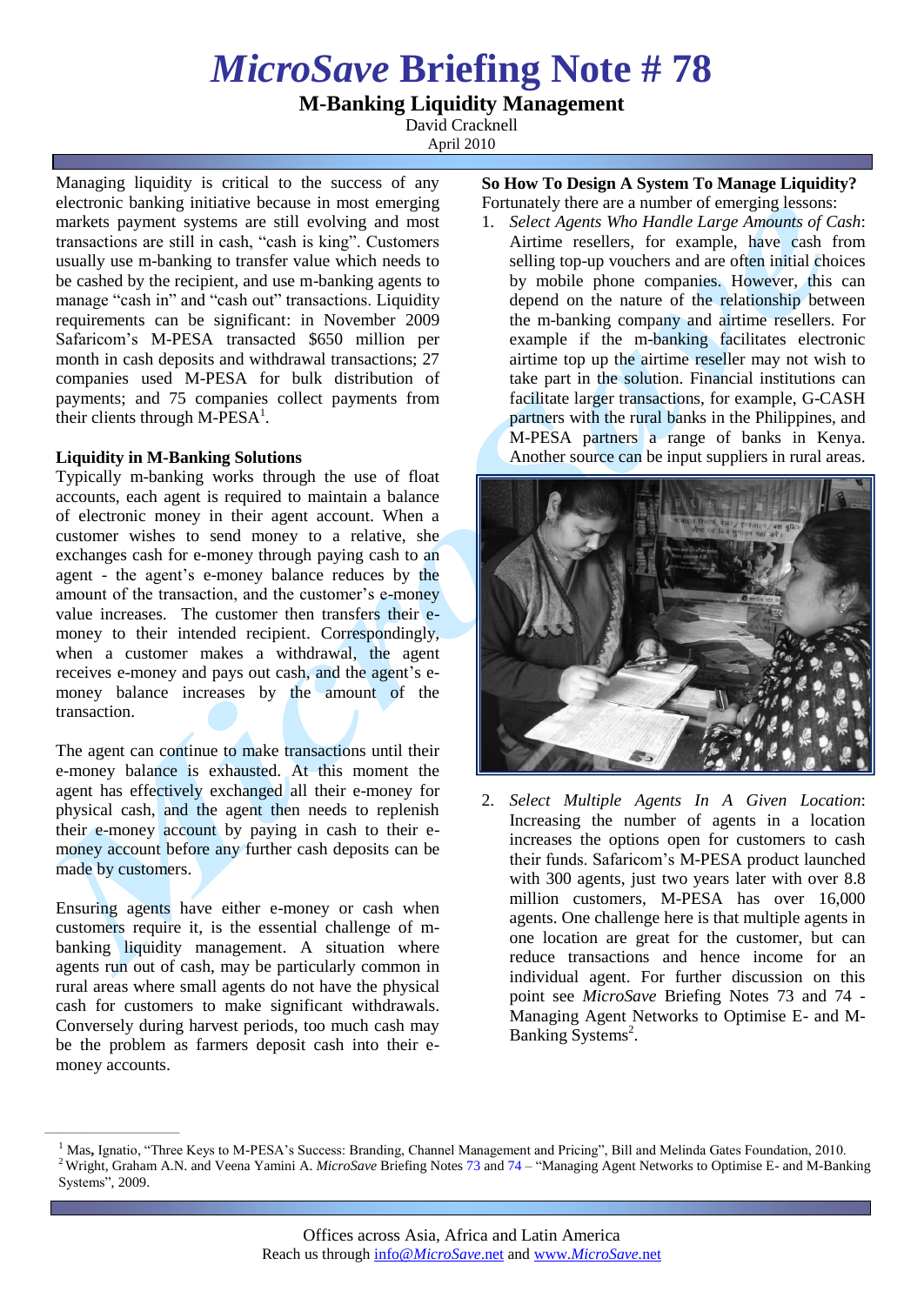# *MicroSave* **Briefing Note # 78**

## **M-Banking Liquidity Management**

David Cracknell April 2010

Managing liquidity is critical to the success of any electronic banking initiative because in most emerging markets payment systems are still evolving and most transactions are still in cash, "cash is king". Customers usually use m-banking to transfer value which needs to be cashed by the recipient, and use m-banking agents to manage "cash in" and "cash out" transactions. Liquidity requirements can be significant: in November 2009 Safaricom's M-PESA transacted \$650 million per month in cash deposits and withdrawal transactions; 27 companies used M-PESA for bulk distribution of payments; and 75 companies collect payments from their clients through M- $\overline{PESA}^1$ .

#### **Liquidity in M-Banking Solutions**

Typically m-banking works through the use of float accounts, each agent is required to maintain a balance of electronic money in their agent account. When a customer wishes to send money to a relative, she exchanges cash for e-money through paying cash to an agent - the agent's e-money balance reduces by the amount of the transaction, and the customer's e-money value increases. The customer then transfers their emoney to their intended recipient. Correspondingly, when a customer makes a withdrawal, the agent receives e-money and pays out cash, and the agent's emoney balance increases by the amount of the transaction.

The agent can continue to make transactions until their e-money balance is exhausted. At this moment the agent has effectively exchanged all their e-money for physical cash, and the agent then needs to replenish their e-money account by paying in cash to their emoney account before any further cash deposits can be made by customers.

Ensuring agents have either e-money or cash when customers require it, is the essential challenge of mbanking liquidity management. A situation where agents run out of cash, may be particularly common in rural areas where small agents do not have the physical cash for customers to make significant withdrawals. Conversely during harvest periods, too much cash may be the problem as farmers deposit cash into their emoney accounts.

\_\_\_\_\_\_\_\_\_\_\_\_\_\_\_\_\_\_\_\_\_\_\_\_\_\_\_\_\_

#### **So How To Design A System To Manage Liquidity?** Fortunately there are a number of emerging lessons:

1. *Select Agents Who Handle Large Amounts of Cash*: Airtime resellers, for example, have cash from selling top-up vouchers and are often initial choices by mobile phone companies. However, this can depend on the nature of the relationship between the m-banking company and airtime resellers. For example if the m-banking facilitates electronic airtime top up the airtime reseller may not wish to take part in the solution. Financial institutions can facilitate larger transactions, for example, G-CASH partners with the rural banks in the Philippines, and M-PESA partners a range of banks in Kenya. Another source can be input suppliers in rural areas.



2. *Select Multiple Agents In A Given Location*: Increasing the number of agents in a location increases the options open for customers to cash their funds. Safaricom's M-PESA product launched with 300 agents, just two years later with over 8.8 million customers, M-PESA has over 16,000 agents. One challenge here is that multiple agents in one location are great for the customer, but can reduce transactions and hence income for an individual agent. For further discussion on this point see *MicroSave* Briefing Notes 73 and 74 - Managing Agent Networks to Optimise E- and M-Banking Systems<sup>2</sup>.

<sup>1</sup> Mas**,** Ignatio, "Three Keys to M-PESA's Success: Branding, Channel Management and Pricing", Bill and Melinda Gates Foundation, 2010. <sup>2</sup>Wright, Graham A.N. and Veena Yamini A. *MicroSave* Briefing Notes 73 and 74 – "Managing Agent Networks to Optimise E- and M-Banking Systems", 2009.